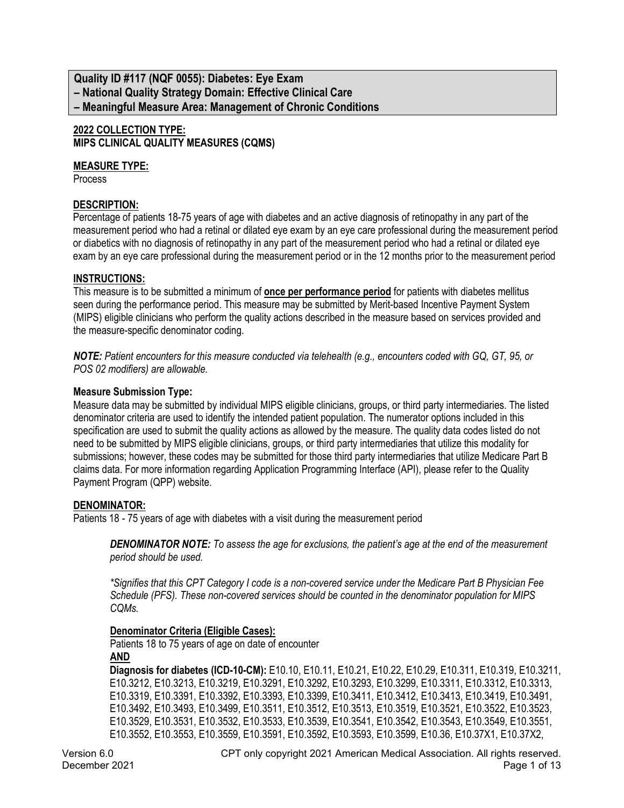### **Quality ID #117 (NQF 0055): Diabetes: Eye Exam – National Quality Strategy Domain: Effective Clinical Care – Meaningful Measure Area: Management of Chronic Conditions**

#### **2022 COLLECTION TYPE: MIPS CLINICAL QUALITY MEASURES (CQMS)**

#### **MEASURE TYPE:**

Process

### **DESCRIPTION:**

Percentage of patients 18-75 years of age with diabetes and an active diagnosis of retinopathy in any part of the measurement period who had a retinal or dilated eye exam by an eye care professional during the measurement period or diabetics with no diagnosis of retinopathy in any part of the measurement period who had a retinal or dilated eye exam by an eye care professional during the measurement period or in the 12 months prior to the measurement period

#### **INSTRUCTIONS:**

This measure is to be submitted a minimum of **once per performance period** for patients with diabetes mellitus seen during the performance period. This measure may be submitted by Merit-based Incentive Payment System (MIPS) eligible clinicians who perform the quality actions described in the measure based on services provided and the measure-specific denominator coding.

*NOTE: Patient encounters for this measure conducted via telehealth (e.g., encounters coded with GQ, GT, 95, or POS 02 modifiers) are allowable.*

#### **Measure Submission Type:**

Measure data may be submitted by individual MIPS eligible clinicians, groups, or third party intermediaries. The listed denominator criteria are used to identify the intended patient population. The numerator options included in this specification are used to submit the quality actions as allowed by the measure. The quality data codes listed do not need to be submitted by MIPS eligible clinicians, groups, or third party intermediaries that utilize this modality for submissions; however, these codes may be submitted for those third party intermediaries that utilize Medicare Part B claims data. For more information regarding Application Programming Interface (API), please refer to the Quality Payment Program (QPP) website.

#### **DENOMINATOR:**

Patients 18 - 75 years of age with diabetes with a visit during the measurement period

*DENOMINATOR NOTE: To assess the age for exclusions, the patient's age at the end of the measurement period should be used.* 

*\*Signifies that this CPT Category I code is a non-covered service under the Medicare Part B Physician Fee Schedule (PFS). These non-covered services should be counted in the denominator population for MIPS CQMs.*

#### **Denominator Criteria (Eligible Cases):**

Patients 18 to 75 years of age on date of encounter **AND**

**Diagnosis for diabetes (ICD-10-CM):** E10.10, E10.11, E10.21, E10.22, E10.29, E10.311, E10.319, E10.3211, E10.3212, E10.3213, E10.3219, E10.3291, E10.3292, E10.3293, E10.3299, E10.3311, E10.3312, E10.3313, E10.3319, E10.3391, E10.3392, E10.3393, E10.3399, E10.3411, E10.3412, E10.3413, E10.3419, E10.3491, E10.3492, E10.3493, E10.3499, E10.3511, E10.3512, E10.3513, E10.3519, E10.3521, E10.3522, E10.3523, E10.3529, E10.3531, E10.3532, E10.3533, E10.3539, E10.3541, E10.3542, E10.3543, E10.3549, E10.3551, E10.3552, E10.3553, E10.3559, E10.3591, E10.3592, E10.3593, E10.3599, E10.36, E10.37X1, E10.37X2,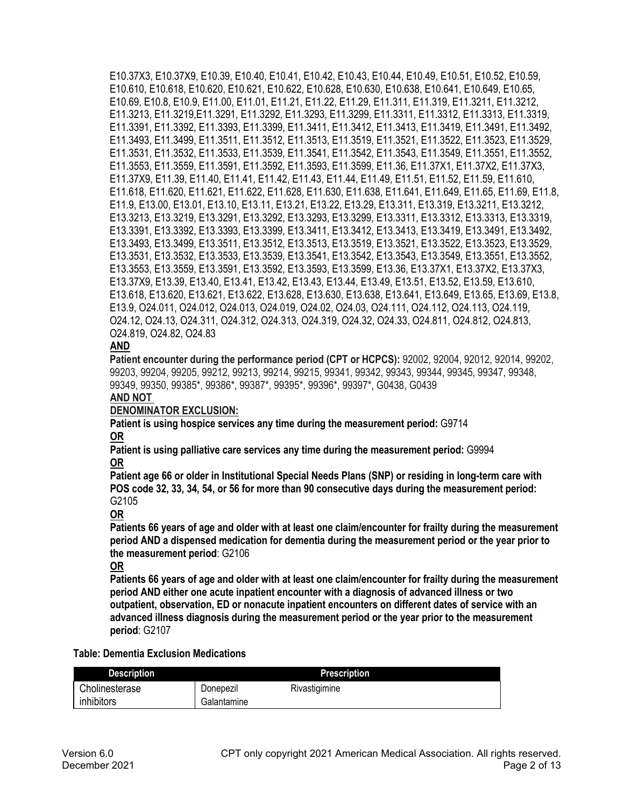E10.37X3, E10.37X9, E10.39, E10.40, E10.41, E10.42, E10.43, E10.44, E10.49, E10.51, E10.52, E10.59, E10.610, E10.618, E10.620, E10.621, E10.622, E10.628, E10.630, E10.638, E10.641, E10.649, E10.65, E10.69, E10.8, E10.9, E11.00, E11.01, E11.21, E11.22, E11.29, E11.311, E11.319, E11.3211, E11.3212, E11.3213, E11.3219,E11.3291, E11.3292, E11.3293, E11.3299, E11.3311, E11.3312, E11.3313, E11.3319, E11.3391, E11.3392, E11.3393, E11.3399, E11.3411, E11.3412, E11.3413, E11.3419, E11.3491, E11.3492, E11.3493, E11.3499, E11.3511, E11.3512, E11.3513, E11.3519, E11.3521, E11.3522, E11.3523, E11.3529, E11.3531, E11.3532, E11.3533, E11.3539, E11.3541, E11.3542, E11.3543, E11.3549, E11.3551, E11.3552, E11.3553, E11.3559, E11.3591, E11.3592, E11.3593, E11.3599, E11.36, E11.37X1, E11.37X2, E11.37X3, E11.37X9, E11.39, E11.40, E11.41, E11.42, E11.43, E11.44, E11.49, E11.51, E11.52, E11.59, E11.610, E11.618, E11.620, E11.621, E11.622, E11.628, E11.630, E11.638, E11.641, E11.649, E11.65, E11.69, E11.8, E11.9, E13.00, E13.01, E13.10, E13.11, E13.21, E13.22, E13.29, E13.311, E13.319, E13.3211, E13.3212, E13.3213, E13.3219, E13.3291, E13.3292, E13.3293, E13.3299, E13.3311, E13.3312, E13.3313, E13.3319, E13.3391, E13.3392, E13.3393, E13.3399, E13.3411, E13.3412, E13.3413, E13.3419, E13.3491, E13.3492, E13.3493, E13.3499, E13.3511, E13.3512, E13.3513, E13.3519, E13.3521, E13.3522, E13.3523, E13.3529, E13.3531, E13.3532, E13.3533, E13.3539, E13.3541, E13.3542, E13.3543, E13.3549, E13.3551, E13.3552, E13.3553, E13.3559, E13.3591, E13.3592, E13.3593, E13.3599, E13.36, E13.37X1, E13.37X2, E13.37X3, E13.37X9, E13.39, E13.40, E13.41, E13.42, E13.43, E13.44, E13.49, E13.51, E13.52, E13.59, E13.610, E13.618, E13.620, E13.621, E13.622, E13.628, E13.630, E13.638, E13.641, E13.649, E13.65, E13.69, E13.8, E13.9, O24.011, O24.012, O24.013, O24.019, O24.02, O24.03, O24.111, O24.112, O24.113, O24.119, O24.12, O24.13, O24.311, O24.312, O24.313, O24.319, O24.32, O24.33, O24.811, O24.812, O24.813, O24.819, O24.82, O24.83

### **AND**

**Patient encounter during the performance period (CPT or HCPCS):** 92002, 92004, 92012, 92014, 99202, 99203, 99204, 99205, 99212, 99213, 99214, 99215, 99341, 99342, 99343, 99344, 99345, 99347, 99348, 99349, 99350, 99385\*, 99386\*, 99387\*, 99395\*, 99396\*, 99397\*, G0438, G0439

#### **AND NOT**

#### **DENOMINATOR EXCLUSION:**

**Patient is using hospice services any time during the measurement period:** G9714 **OR**

**Patient is using palliative care services any time during the measurement period:** G9994 **OR**

**Patient age 66 or older in Institutional Special Needs Plans (SNP) or residing in long-term care with POS code 32, 33, 34, 54, or 56 for more than 90 consecutive days during the measurement period:**  G2105

**OR**

**Patients 66 years of age and older with at least one claim/encounter for frailty during the measurement period AND a dispensed medication for dementia during the measurement period or the year prior to the measurement period**: G2106

#### **OR**

**Patients 66 years of age and older with at least one claim/encounter for frailty during the measurement period AND either one acute inpatient encounter with a diagnosis of advanced illness or two outpatient, observation, ED or nonacute inpatient encounters on different dates of service with an advanced illness diagnosis during the measurement period or the year prior to the measurement period**: G2107

#### **Table: Dementia Exclusion Medications**

| <b>Description</b> |             | <b>Prescription</b> |
|--------------------|-------------|---------------------|
| Cholinesterase     | Donepezil   | Rivastigimine       |
| inhibitors         | Galantamine |                     |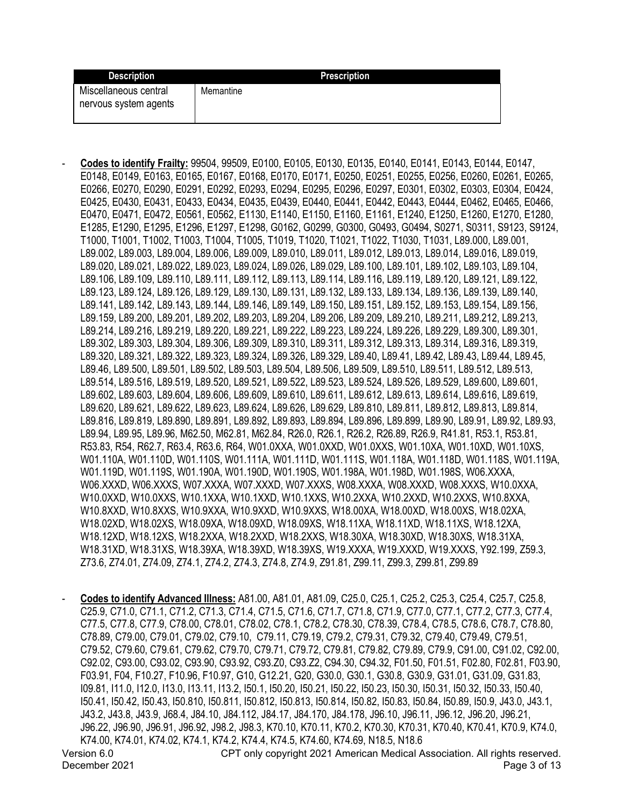| <b>Description</b>                             | Prescription |
|------------------------------------------------|--------------|
| Miscellaneous central<br>nervous system agents | Memantine    |

- **Codes to identify Frailty:** 99504, 99509, E0100, E0105, E0130, E0135, E0140, E0141, E0143, E0144, E0147, E0148, E0149, E0163, E0165, E0167, E0168, E0170, E0171, E0250, E0251, E0255, E0256, E0260, E0261, E0265, E0266, E0270, E0290, E0291, E0292, E0293, E0294, E0295, E0296, E0297, E0301, E0302, E0303, E0304, E0424, E0425, E0430, E0431, E0433, E0434, E0435, E0439, E0440, E0441, E0442, E0443, E0444, E0462, E0465, E0466, E0470, E0471, E0472, E0561, E0562, E1130, E1140, E1150, E1160, E1161, E1240, E1250, E1260, E1270, E1280, E1285, E1290, E1295, E1296, E1297, E1298, G0162, G0299, G0300, G0493, G0494, S0271, S0311, S9123, S9124, T1000, T1001, T1002, T1003, T1004, T1005, T1019, T1020, T1021, T1022, T1030, T1031, L89.000, L89.001, L89.002, L89.003, L89.004, L89.006, L89.009, L89.010, L89.011, L89.012, L89.013, L89.014, L89.016, L89.019, L89.020, L89.021, L89.022, L89.023, L89.024, L89.026, L89.029, L89.100, L89.101, L89.102, L89.103, L89.104, L89.106, L89.109, L89.110, L89.111, L89.112, L89.113, L89.114, L89.116, L89.119, L89.120, L89.121, L89.122, L89.123, L89.124, L89.126, L89.129, L89.130, L89.131, L89.132, L89.133, L89.134, L89.136, L89.139, L89.140, L89.141, L89.142, L89.143, L89.144, L89.146, L89.149, L89.150, L89.151, L89.152, L89.153, L89.154, L89.156, L89.159, L89.200, L89.201, L89.202, L89.203, L89.204, L89.206, L89.209, L89.210, L89.211, L89.212, L89.213, L89.214, L89.216, L89.219, L89.220, L89.221, L89.222, L89.223, L89.224, L89.226, L89.229, L89.300, L89.301, L89.302, L89.303, L89.304, L89.306, L89.309, L89.310, L89.311, L89.312, L89.313, L89.314, L89.316, L89.319, L89.320, L89.321, L89.322, L89.323, L89.324, L89.326, L89.329, L89.40, L89.41, L89.42, L89.43, L89.44, L89.45, L89.46, L89.500, L89.501, L89.502, L89.503, L89.504, L89.506, L89.509, L89.510, L89.511, L89.512, L89.513, L89.514, L89.516, L89.519, L89.520, L89.521, L89.522, L89.523, L89.524, L89.526, L89.529, L89.600, L89.601, L89.602, L89.603, L89.604, L89.606, L89.609, L89.610, L89.611, L89.612, L89.613, L89.614, L89.616, L89.619, L89.620, L89.621, L89.622, L89.623, L89.624, L89.626, L89.629, L89.810, L89.811, L89.812, L89.813, L89.814, L89.816, L89.819, L89.890, L89.891, L89.892, L89.893, L89.894, L89.896, L89.899, L89.90, L89.91, L89.92, L89.93, L89.94, L89.95, L89.96, M62.50, M62.81, M62.84, R26.0, R26.1, R26.2, R26.89, R26.9, R41.81, R53.1, R53.81, R53.83, R54, R62.7, R63.4, R63.6, R64, W01.0XXA, W01.0XXD, W01.0XXS, W01.10XA, W01.10XD, W01.10XS, W01.110A, W01.110D, W01.110S, W01.111A, W01.111D, W01.111S, W01.118A, W01.118D, W01.118S, W01.119A, W01.119D, W01.119S, W01.190A, W01.190D, W01.190S, W01.198A, W01.198D, W01.198S, W06.XXXA, W06.XXXD, W06.XXXS, W07.XXXA, W07.XXXD, W07.XXXS, W08.XXXA, W08.XXXD, W08.XXXS, W10.0XXA, W10.0XXD, W10.0XXS, W10.1XXA, W10.1XXD, W10.1XXS, W10.2XXA, W10.2XXD, W10.2XXS, W10.8XXA, W10.8XXD, W10.8XXS, W10.9XXA, W10.9XXD, W10.9XXS, W18.00XA, W18.00XD, W18.00XS, W18.02XA, W18.02XD, W18.02XS, W18.09XA, W18.09XD, W18.09XS, W18.11XA, W18.11XD, W18.11XS, W18.12XA, W18.12XD, W18.12XS, W18.2XXA, W18.2XXD, W18.2XXS, W18.30XA, W18.30XD, W18.30XS, W18.31XA, W18.31XD, W18.31XS, W18.39XA, W18.39XD, W18.39XS, W19.XXXA, W19.XXXD, W19.XXXS, Y92.199, Z59.3, Z73.6, Z74.01, Z74.09, Z74.1, Z74.2, Z74.3, Z74.8, Z74.9, Z91.81, Z99.11, Z99.3, Z99.81, Z99.89

- **Codes to identify Advanced Illness:** A81.00, A81.01, A81.09, C25.0, C25.1, C25.2, C25.3, C25.4, C25.7, C25.8, C25.9, C71.0, C71.1, C71.2, C71.3, C71.4, C71.5, C71.6, C71.7, C71.8, C71.9, C77.0, C77.1, C77.2, C77.3, C77.4, C77.5, C77.8, C77.9, C78.00, C78.01, C78.02, C78.1, C78.2, C78.30, C78.39, C78.4, C78.5, C78.6, C78.7, C78.80, C78.89, C79.00, C79.01, C79.02, C79.10, C79.11, C79.19, C79.2, C79.31, C79.32, C79.40, C79.49, C79.51, C79.52, C79.60, C79.61, C79.62, C79.70, C79.71, C79.72, C79.81, C79.82, C79.89, C79.9, C91.00, C91.02, C92.00, C92.02, C93.00, C93.02, C93.90, C93.92, C93.Z0, C93.Z2, C94.30, C94.32, F01.50, F01.51, F02.80, F02.81, F03.90, F03.91, F04, F10.27, F10.96, F10.97, G10, G12.21, G20, G30.0, G30.1, G30.8, G30.9, G31.01, G31.09, G31.83, I09.81, I11.0, I12.0, I13.0, I13.11, I13.2, I50.1, I50.20, I50.21, I50.22, I50.23, I50.30, I50.31, I50.32, I50.33, I50.40, I50.41, I50.42, I50.43, I50.810, I50.811, I50.812, I50.813, I50.814, I50.82, I50.83, I50.84, I50.89, I50.9, J43.0, J43.1, J43.2, J43.8, J43.9, J68.4, J84.10, J84.112, J84.17, J84.170, J84.178, J96.10, J96.11, J96.12, J96.20, J96.21, J96.22, J96.90, J96.91, J96.92, J98.2, J98.3, K70.10, K70.11, K70.2, K70.30, K70.31, K70.40, K70.41, K70.9, K74.0, K74.00, K74.01, K74.02, K74.1, K74.2, K74.4, K74.5, K74.60, K74.69, N18.5, N18.6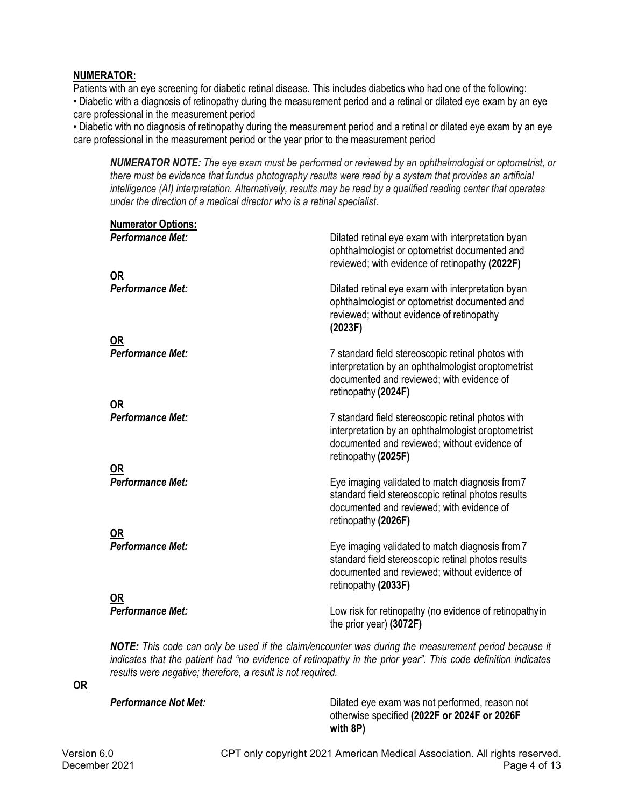### **NUMERATOR:**

Patients with an eye screening for diabetic retinal disease. This includes diabetics who had one of the following: • Diabetic with a diagnosis of retinopathy during the measurement period and a retinal or dilated eye exam by an eye care professional in the measurement period

• Diabetic with no diagnosis of retinopathy during the measurement period and a retinal or dilated eye exam by an eye care professional in the measurement period or the year prior to the measurement period

*NUMERATOR NOTE: The eye exam must be performed or reviewed by an ophthalmologist or optometrist, or there must be evidence that fundus photography results were read by a system that provides an artificial intelligence (AI) interpretation. Alternatively, results may be read by a qualified reading center that operates under the direction of a medical director who is a retinal specialist.*

| <b>Numerator Options:</b><br><b>Performance Met:</b> | Dilated retinal eye exam with interpretation by an<br>ophthalmologist or optometrist documented and<br>reviewed; with evidence of retinopathy (2022F)                           |
|------------------------------------------------------|---------------------------------------------------------------------------------------------------------------------------------------------------------------------------------|
| <b>OR</b><br><b>Performance Met:</b>                 | Dilated retinal eye exam with interpretation by an<br>ophthalmologist or optometrist documented and<br>reviewed; without evidence of retinopathy<br>(2023F)                     |
| OR<br><b>Performance Met:</b>                        | 7 standard field stereoscopic retinal photos with<br>interpretation by an ophthalmologist or optometrist<br>documented and reviewed; with evidence of<br>retinopathy (2024F)    |
| <b>OR</b><br><b>Performance Met:</b>                 | 7 standard field stereoscopic retinal photos with<br>interpretation by an ophthalmologist or optometrist<br>documented and reviewed; without evidence of<br>retinopathy (2025F) |
| <b>OR</b><br><b>Performance Met:</b>                 | Eye imaging validated to match diagnosis from 7<br>standard field stereoscopic retinal photos results<br>documented and reviewed; with evidence of<br>retinopathy (2026F)       |
| 0R<br><b>Performance Met:</b>                        | Eye imaging validated to match diagnosis from 7<br>standard field stereoscopic retinal photos results<br>documented and reviewed; without evidence of<br>retinopathy (2033F)    |
| 0R<br><b>Performance Met:</b>                        | Low risk for retinopathy (no evidence of retinopathyin<br>the prior year) (3072F)                                                                                               |

*NOTE: This code can only be used if the claim/encounter was during the measurement period because it indicates that the patient had "no evidence of retinopathy in the prior year". This code definition indicates results were negative; therefore, a result is not required.*

# **OR**

**Performance Not Met:** Dilated eye exam was not performed, reason not otherwise specified **(2022F or 2024F or 2026F with 8P)**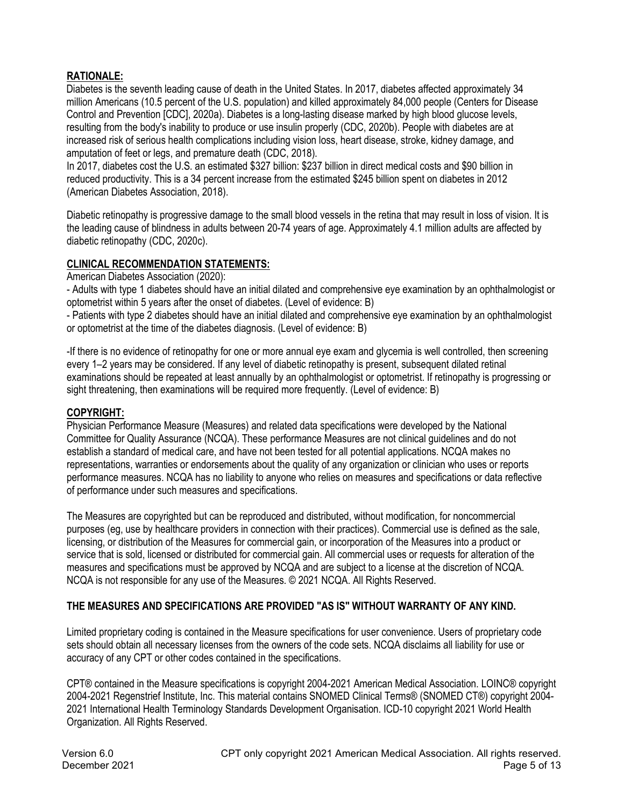## **RATIONALE:**

Diabetes is the seventh leading cause of death in the United States. In 2017, diabetes affected approximately 34 million Americans (10.5 percent of the U.S. population) and killed approximately 84,000 people (Centers for Disease Control and Prevention [CDC], 2020a). Diabetes is a long-lasting disease marked by high blood glucose levels, resulting from the body's inability to produce or use insulin properly (CDC, 2020b). People with diabetes are at increased risk of serious health complications including vision loss, heart disease, stroke, kidney damage, and amputation of feet or legs, and premature death (CDC, 2018).

In 2017, diabetes cost the U.S. an estimated \$327 billion: \$237 billion in direct medical costs and \$90 billion in reduced productivity. This is a 34 percent increase from the estimated \$245 billion spent on diabetes in 2012 (American Diabetes Association, 2018).

Diabetic retinopathy is progressive damage to the small blood vessels in the retina that may result in loss of vision. It is the leading cause of blindness in adults between 20-74 years of age. Approximately 4.1 million adults are affected by diabetic retinopathy (CDC, 2020c).

### **CLINICAL RECOMMENDATION STATEMENTS:**

American Diabetes Association (2020):

- Adults with type 1 diabetes should have an initial dilated and comprehensive eye examination by an ophthalmologist or optometrist within 5 years after the onset of diabetes. (Level of evidence: B)

- Patients with type 2 diabetes should have an initial dilated and comprehensive eye examination by an ophthalmologist or optometrist at the time of the diabetes diagnosis. (Level of evidence: B)

-If there is no evidence of retinopathy for one or more annual eye exam and glycemia is well controlled, then screening every 1–2 years may be considered. If any level of diabetic retinopathy is present, subsequent dilated retinal examinations should be repeated at least annually by an ophthalmologist or optometrist. If retinopathy is progressing or sight threatening, then examinations will be required more frequently. (Level of evidence: B)

### **COPYRIGHT:**

Physician Performance Measure (Measures) and related data specifications were developed by the National Committee for Quality Assurance (NCQA). These performance Measures are not clinical guidelines and do not establish a standard of medical care, and have not been tested for all potential applications. NCQA makes no representations, warranties or endorsements about the quality of any organization or clinician who uses or reports performance measures. NCQA has no liability to anyone who relies on measures and specifications or data reflective of performance under such measures and specifications.

The Measures are copyrighted but can be reproduced and distributed, without modification, for noncommercial purposes (eg, use by healthcare providers in connection with their practices). Commercial use is defined as the sale, licensing, or distribution of the Measures for commercial gain, or incorporation of the Measures into a product or service that is sold, licensed or distributed for commercial gain. All commercial uses or requests for alteration of the measures and specifications must be approved by NCQA and are subject to a license at the discretion of NCQA. NCQA is not responsible for any use of the Measures. © 2021 NCQA. All Rights Reserved.

### **THE MEASURES AND SPECIFICATIONS ARE PROVIDED "AS IS" WITHOUT WARRANTY OF ANY KIND.**

Limited proprietary coding is contained in the Measure specifications for user convenience. Users of proprietary code sets should obtain all necessary licenses from the owners of the code sets. NCQA disclaims all liability for use or accuracy of any CPT or other codes contained in the specifications.

CPT® contained in the Measure specifications is copyright 2004-2021 American Medical Association. LOINC® copyright 2004-2021 Regenstrief Institute, Inc. This material contains SNOMED Clinical Terms® (SNOMED CT®) copyright 2004- 2021 International Health Terminology Standards Development Organisation. ICD-10 copyright 2021 World Health Organization. All Rights Reserved.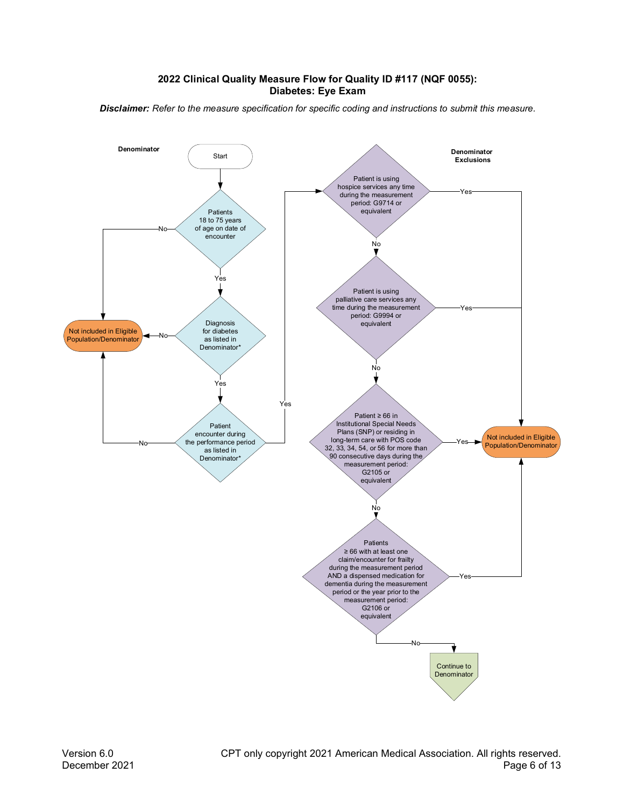#### **2022 Clinical Quality Measure Flow for Quality ID #117 (NQF 0055): Diabetes: Eye Exam**

*Disclaimer: Refer to the measure specification for specific coding and instructions to submit this measure.*

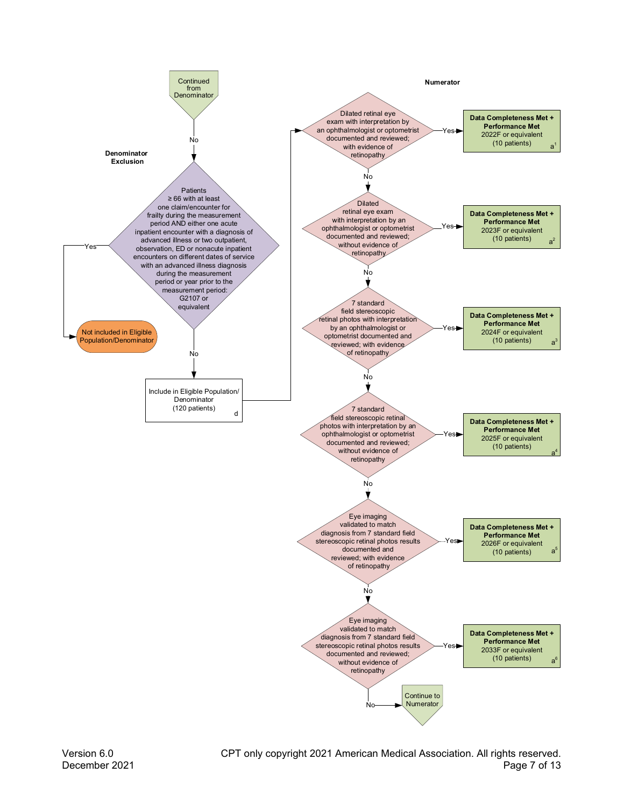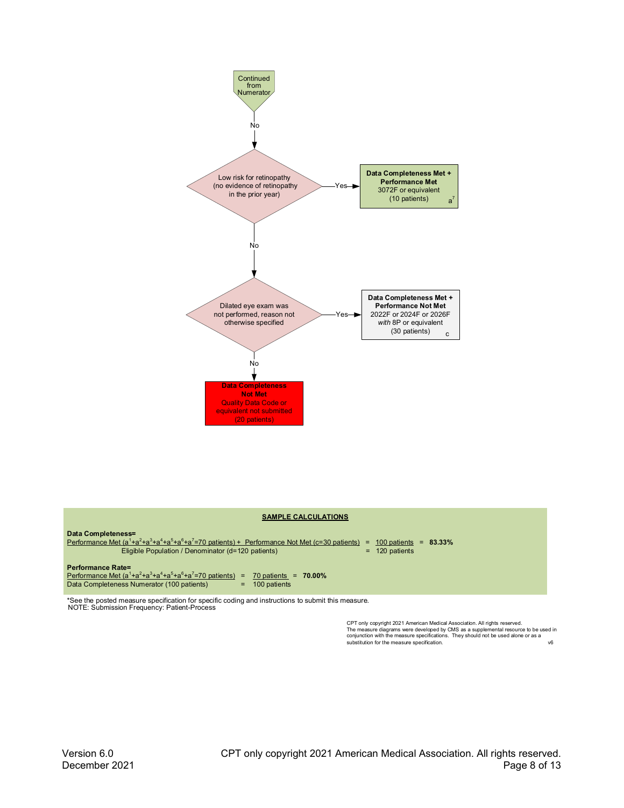

#### **SAMPLE CALCULATIONS**



\*See the posted measure specification for specific coding and instructions to submit this measure.<br>NOTE: Submission Frequency: Patient-Process

CPT only copyright 2021 American Medical Association. All rights reserved.<br>The measure diagrams were developed by CMS as a supplemental resource to be used in<br>conjunction with the measure specifications. They should not be  $v6$ substitution for the measure specification.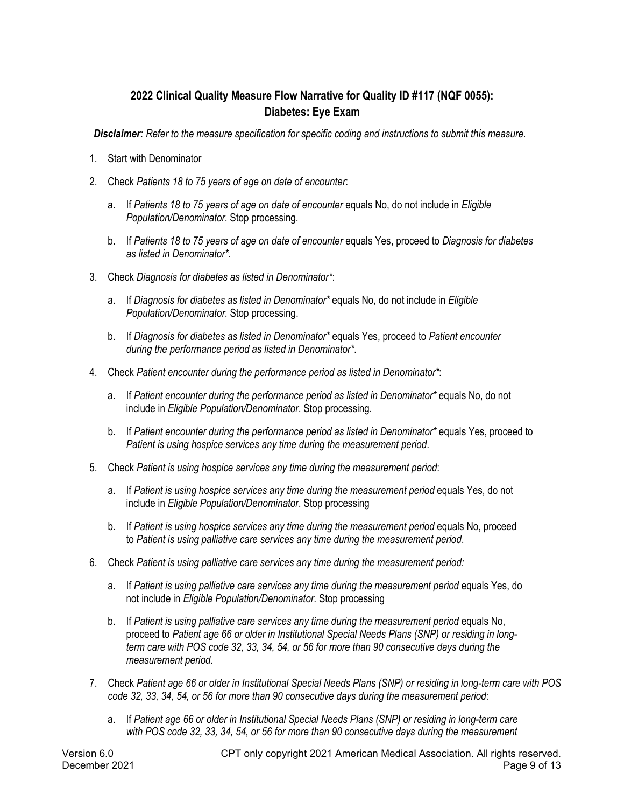# **2022 Clinical Quality Measure Flow Narrative for Quality ID #117 (NQF 0055): Diabetes: Eye Exam**

*Disclaimer: Refer to the measure specification for specific coding and instructions to submit this measure.*

- 1. Start with Denominator
- 2. Check *Patients 18 to 75 years of age on date of encounter*:
	- a. If *Patients 18 to 75 years of age on date of encounter* equals No, do not include in *Eligible Population/Denominator*. Stop processing.
	- b. If *Patients 18 to 75 years of age on date of encounter* equals Yes, proceed to *Diagnosis for diabetes as listed in Denominator\**.
- 3. Check *Diagnosis for diabetes as listed in Denominator\**:
	- a. If *Diagnosis for diabetes as listed in Denominator\** equals No, do not include in *Eligible Population/Denominator*. Stop processing.
	- b. If *Diagnosis for diabetes as listed in Denominator\** equals Yes, proceed to *Patient encounter during the performance period as listed in Denominator\**.
- 4. Check *Patient encounter during the performance period as listed in Denominator\**:
	- a. If *Patient encounter during the performance period as listed in Denominator\** equals No, do not include in *Eligible Population/Denominator*. Stop processing.
	- b. If *Patient encounter during the performance period as listed in Denominator\** equals Yes, proceed to *Patient is using hospice services any time during the measurement period*.
- 5. Check *Patient is using hospice services any time during the measurement period*:
	- a. If *Patient is using hospice services any time during the measurement period* equals Yes, do not include in *Eligible Population/Denominator*. Stop processing
	- b. If *Patient is using hospice services any time during the measurement period* equals No, proceed to *Patient is using palliative care services any time during the measurement period*.
- 6. Check *Patient is using palliative care services any time during the measurement period:*
	- a. If *Patient is using palliative care services any time during the measurement period* equals Yes, do not include in *Eligible Population/Denominator*. Stop processing
	- b. If *Patient is using palliative care services any time during the measurement period* equals No, proceed to *Patient age 66 or older in Institutional Special Needs Plans (SNP) or residing in longterm care with POS code 32, 33, 34, 54, or 56 for more than 90 consecutive days during the measurement period*.
- 7. Check *Patient age 66 or older in Institutional Special Needs Plans (SNP) or residing in long-term care with POS code 32, 33, 34, 54, or 56 for more than 90 consecutive days during the measurement period*:
	- a. If *Patient age 66 or older in Institutional Special Needs Plans (SNP) or residing in long-term care with POS code 32, 33, 34, 54, or 56 for more than 90 consecutive days during the measurement*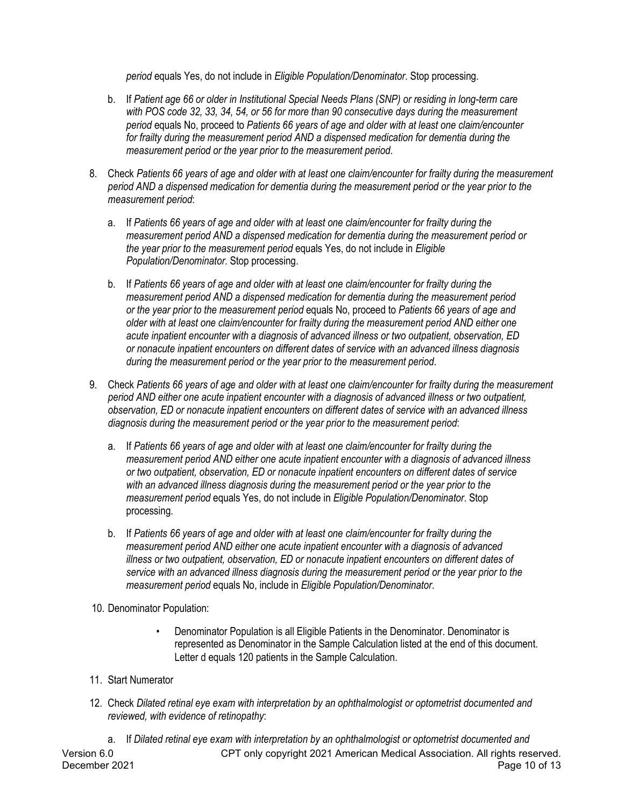*period* equals Yes, do not include in *Eligible Population/Denominator*. Stop processing.

- b. If *Patient age 66 or older in Institutional Special Needs Plans (SNP) or residing in long-term care with POS code 32, 33, 34, 54, or 56 for more than 90 consecutive days during the measurement period* equals No, proceed to *Patients 66 years of age and older with at least one claim/encounter for frailty during the measurement period AND a dispensed medication for dementia during the measurement period or the year prior to the measurement period*.
- 8. Check *Patients 66 years of age and older with at least one claim/encounter for frailty during the measurement period AND a dispensed medication for dementia during the measurement period or the year prior to the measurement period*:
	- a. If *Patients 66 years of age and older with at least one claim/encounter for frailty during the measurement period AND a dispensed medication for dementia during the measurement period or the year prior to the measurement period* equals Yes, do not include in *Eligible Population/Denominator*. Stop processing.
	- b. If *Patients 66 years of age and older with at least one claim/encounter for frailty during the measurement period AND a dispensed medication for dementia during the measurement period or the year prior to the measurement period* equals No, proceed to *Patients 66 years of age and older with at least one claim/encounter for frailty during the measurement period AND either one acute inpatient encounter with a diagnosis of advanced illness or two outpatient, observation, ED or nonacute inpatient encounters on different dates of service with an advanced illness diagnosis during the measurement period or the year prior to the measurement period*.
- 9. Check *Patients 66 years of age and older with at least one claim/encounter for frailty during the measurement period AND either one acute inpatient encounter with a diagnosis of advanced illness or two outpatient, observation, ED or nonacute inpatient encounters on different dates of service with an advanced illness diagnosis during the measurement period or the year prior to the measurement period*:
	- a. If *Patients 66 years of age and older with at least one claim/encounter for frailty during the measurement period AND either one acute inpatient encounter with a diagnosis of advanced illness or two outpatient, observation, ED or nonacute inpatient encounters on different dates of service with an advanced illness diagnosis during the measurement period or the year prior to the measurement period* equals Yes, do not include in *Eligible Population/Denominator*. Stop processing.
	- b. If *Patients 66 years of age and older with at least one claim/encounter for frailty during the measurement period AND either one acute inpatient encounter with a diagnosis of advanced illness or two outpatient, observation, ED or nonacute inpatient encounters on different dates of service with an advanced illness diagnosis during the measurement period or the year prior to the measurement period* equals No, include in *Eligible Population/Denominator*.
- 10. Denominator Population:
	- Denominator Population is all Eligible Patients in the Denominator. Denominator is represented as Denominator in the Sample Calculation listed at the end of this document. Letter d equals 120 patients in the Sample Calculation.
- 11. Start Numerator
- 12. Check *Dilated retinal eye exam with interpretation by an ophthalmologist or optometrist documented and reviewed, with evidence of retinopathy*:

Version 6.0 CPT only copyright 2021 American Medical Association. All rights reserved. December 2021 **Page 10 of 13** a. If *Dilated retinal eye exam with interpretation by an ophthalmologist or optometrist documented and*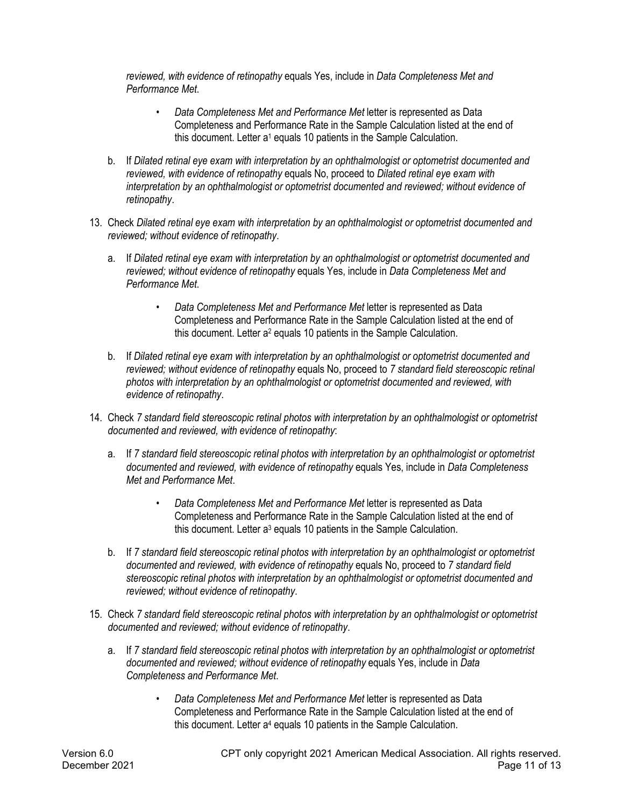*reviewed, with evidence of retinopathy* equals Yes, include in *Data Completeness Met and Performance Met*.

- *Data Completeness Met and Performance Met* letter is represented as Data Completeness and Performance Rate in the Sample Calculation listed at the end of this document. Letter a<sup>1</sup> equals 10 patients in the Sample Calculation.
- b. If *Dilated retinal eye exam with interpretation by an ophthalmologist or optometrist documented and reviewed, with evidence of retinopathy* equals No, proceed to *Dilated retinal eye exam with interpretation by an ophthalmologist or optometrist documented and reviewed; without evidence of retinopathy*.
- 13. Check *Dilated retinal eye exam with interpretation by an ophthalmologist or optometrist documented and reviewed; without evidence of retinopathy*.
	- a. If *Dilated retinal eye exam with interpretation by an ophthalmologist or optometrist documented and reviewed; without evidence of retinopathy* equals Yes, include in *Data Completeness Met and Performance Met*.
		- *Data Completeness Met and Performance Met* letter is represented as Data Completeness and Performance Rate in the Sample Calculation listed at the end of this document. Letter a<sup>2</sup> equals 10 patients in the Sample Calculation.
	- b. If *Dilated retinal eye exam with interpretation by an ophthalmologist or optometrist documented and reviewed; without evidence of retinopathy* equals No, proceed to *7 standard field stereoscopic retinal photos with interpretation by an ophthalmologist or optometrist documented and reviewed, with evidence of retinopathy*.
- 14. Check *7 standard field stereoscopic retinal photos with interpretation by an ophthalmologist or optometrist documented and reviewed, with evidence of retinopathy*:
	- a. If *7 standard field stereoscopic retinal photos with interpretation by an ophthalmologist or optometrist documented and reviewed, with evidence of retinopathy* equals Yes, include in *Data Completeness Met and Performance Met*.
		- *Data Completeness Met and Performance Met* letter is represented as Data Completeness and Performance Rate in the Sample Calculation listed at the end of this document. Letter a<sup>3</sup> equals 10 patients in the Sample Calculation.
	- b. If *7 standard field stereoscopic retinal photos with interpretation by an ophthalmologist or optometrist documented and reviewed, with evidence of retinopathy* equals No, proceed to *7 standard field stereoscopic retinal photos with interpretation by an ophthalmologist or optometrist documented and reviewed; without evidence of retinopathy*.
- 15. Check *7 standard field stereoscopic retinal photos with interpretation by an ophthalmologist or optometrist documented and reviewed; without evidence of retinopathy*.
	- a. If *7 standard field stereoscopic retinal photos with interpretation by an ophthalmologist or optometrist documented and reviewed; without evidence of retinopathy* equals Yes, include in *Data Completeness and Performance Met*.
		- *Data Completeness Met and Performance Met* letter is represented as Data Completeness and Performance Rate in the Sample Calculation listed at the end of this document. Letter a<sup>4</sup> equals 10 patients in the Sample Calculation.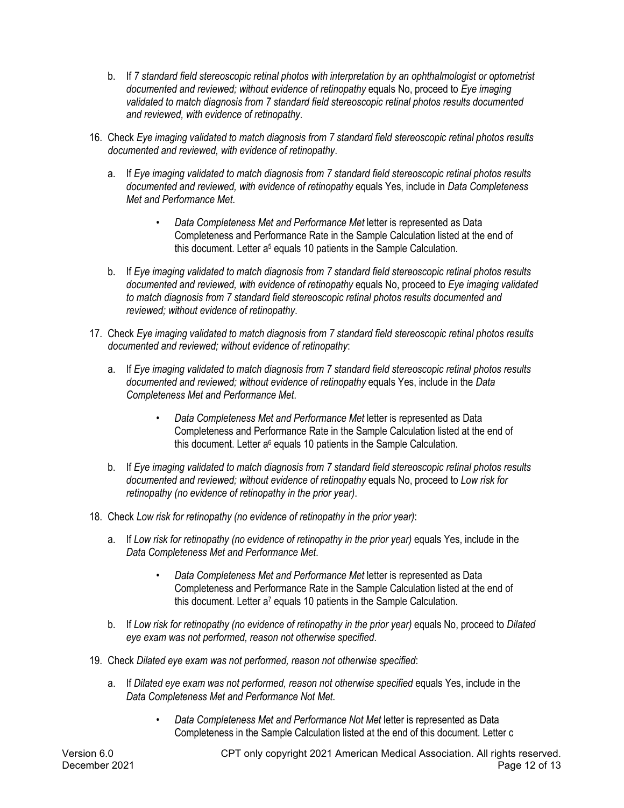- b. If *7 standard field stereoscopic retinal photos with interpretation by an ophthalmologist or optometrist documented and reviewed; without evidence of retinopathy* equals No, proceed to *Eye imaging validated to match diagnosis from 7 standard field stereoscopic retinal photos results documented and reviewed, with evidence of retinopathy*.
- 16. Check *Eye imaging validated to match diagnosis from 7 standard field stereoscopic retinal photos results documented and reviewed, with evidence of retinopathy*.
	- a. If *Eye imaging validated to match diagnosis from 7 standard field stereoscopic retinal photos results documented and reviewed, with evidence of retinopathy* equals Yes, include in *Data Completeness Met and Performance Met*.
		- *Data Completeness Met and Performance Met* letter is represented as Data Completeness and Performance Rate in the Sample Calculation listed at the end of this document. Letter a<sup>5</sup> equals 10 patients in the Sample Calculation.
	- b. If *Eye imaging validated to match diagnosis from 7 standard field stereoscopic retinal photos results documented and reviewed, with evidence of retinopathy* equals No, proceed to *Eye imaging validated to match diagnosis from 7 standard field stereoscopic retinal photos results documented and reviewed; without evidence of retinopathy*.
- 17. Check *Eye imaging validated to match diagnosis from 7 standard field stereoscopic retinal photos results documented and reviewed; without evidence of retinopathy*:
	- a. If *Eye imaging validated to match diagnosis from 7 standard field stereoscopic retinal photos results documented and reviewed; without evidence of retinopathy* equals Yes, include in the *Data Completeness Met and Performance Met*.
		- *Data Completeness Met and Performance Met* letter is represented as Data Completeness and Performance Rate in the Sample Calculation listed at the end of this document. Letter  $a<sup>6</sup>$  equals 10 patients in the Sample Calculation.
	- b. If *Eye imaging validated to match diagnosis from 7 standard field stereoscopic retinal photos results documented and reviewed; without evidence of retinopathy* equals No, proceed to *Low risk for retinopathy (no evidence of retinopathy in the prior year)*.
- 18. Check *Low risk for retinopathy (no evidence of retinopathy in the prior year)*:
	- a. If *Low risk for retinopathy (no evidence of retinopathy in the prior year)* equals Yes, include in the *Data Completeness Met and Performance Met*.
		- *Data Completeness Met and Performance Met* letter is represented as Data Completeness and Performance Rate in the Sample Calculation listed at the end of this document. Letter  $a^7$  equals 10 patients in the Sample Calculation.
	- b. If *Low risk for retinopathy (no evidence of retinopathy in the prior year)* equals No, proceed to *Dilated eye exam was not performed, reason not otherwise specified*.
- 19. Check *Dilated eye exam was not performed, reason not otherwise specified*:
	- a. If *Dilated eye exam was not performed, reason not otherwise specified* equals Yes, include in the *Data Completeness Met and Performance Not Met*.
		- *Data Completeness Met and Performance Not Met* letter is represented as Data Completeness in the Sample Calculation listed at the end of this document. Letter c